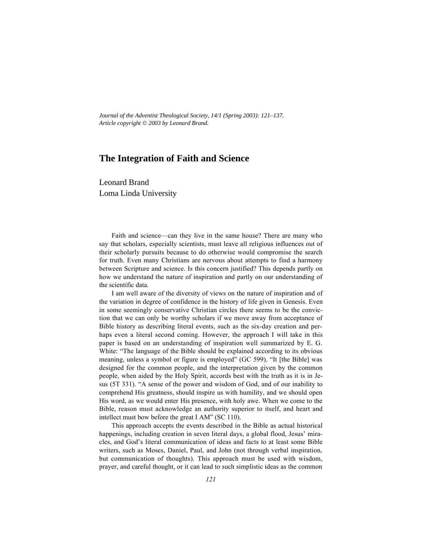*Journal of the Adventist Theological Society, 14/1 (Spring 2003): 121–137. Article copyright © 2003 by Leonard Brand.*

# **The Integration of Faith and Science**

Leonard Brand Loma Linda University

Faith and science—can they live in the same house? There are many who say that scholars, especially scientists, must leave all religious influences out of their scholarly pursuits because to do otherwise would compromise the search for truth. Even many Christians are nervous about attempts to find a harmony between Scripture and science. Is this concern justified? This depends partly on how we understand the nature of inspiration and partly on our understanding of the scientific data.

I am well aware of the diversity of views on the nature of inspiration and of the variation in degree of confidence in the history of life given in Genesis. Even in some seemingly conservative Christian circles there seems to be the conviction that we can only be worthy scholars if we move away from acceptance of Bible history as describing literal events, such as the six-day creation and perhaps even a literal second coming. However, the approach I will take in this paper is based on an understanding of inspiration well summarized by E. G. White: "The language of the Bible should be explained according to its obvious meaning, unless a symbol or figure is employed" (GC 599). "It [the Bible] was designed for the common people, and the interpretation given by the common people, when aided by the Holy Spirit, accords best with the truth as it is in Jesus (5T 331). "A sense of the power and wisdom of God, and of our inability to comprehend His greatness, should inspire us with humility, and we should open His word, as we would enter His presence, with holy awe. When we come to the Bible, reason must acknowledge an authority superior to itself, and heart and intellect must bow before the great I AM" (SC 110).

This approach accepts the events described in the Bible as actual historical happenings, including creation in seven literal days, a global flood, Jesus' miracles, and God's literal communication of ideas and facts to at least some Bible writers, such as Moses, Daniel, Paul, and John (not through verbal inspiration, but communication of thoughts). This approach must be used with wisdom, prayer, and careful thought, or it can lead to such simplistic ideas as the common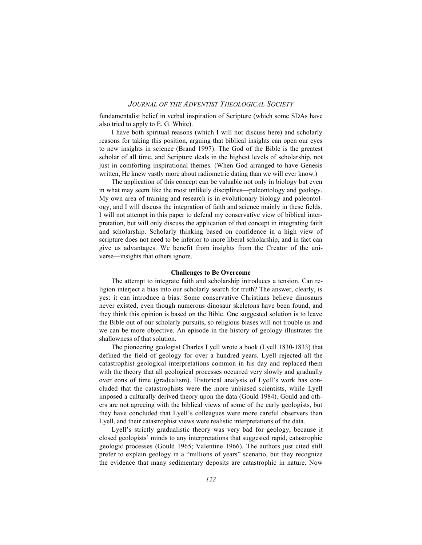fundamentalist belief in verbal inspiration of Scripture (which some SDAs have also tried to apply to E. G. White).

I have both spiritual reasons (which I will not discuss here) and scholarly reasons for taking this position, arguing that biblical insights can open our eyes to new insights in science (Brand 1997). The God of the Bible is the greatest scholar of all time, and Scripture deals in the highest levels of scholarship, not just in comforting inspirational themes. (When God arranged to have Genesis written, He knew vastly more about radiometric dating than we will ever know.)

The application of this concept can be valuable not only in biology but even in what may seem like the most unlikely disciplines—paleontology and geology. My own area of training and research is in evolutionary biology and paleontology, and I will discuss the integration of faith and science mainly in these fields. I will not attempt in this paper to defend my conservative view of biblical interpretation, but will only discuss the application of that concept in integrating faith and scholarship. Scholarly thinking based on confidence in a high view of scripture does not need to be inferior to more liberal scholarship, and in fact can give us advantages. We benefit from insights from the Creator of the universe—insights that others ignore.

### **Challenges to Be Overcome**

The attempt to integrate faith and scholarship introduces a tension. Can religion interject a bias into our scholarly search for truth? The answer, clearly, is yes: it can introduce a bias. Some conservative Christians believe dinosaurs never existed, even though numerous dinosaur skeletons have been found, and they think this opinion is based on the Bible. One suggested solution is to leave the Bible out of our scholarly pursuits, so religious biases will not trouble us and we can be more objective. An episode in the history of geology illustrates the shallowness of that solution.

The pioneering geologist Charles Lyell wrote a book (Lyell 1830-1833) that defined the field of geology for over a hundred years. Lyell rejected all the catastrophist geological interpretations common in his day and replaced them with the theory that all geological processes occurred very slowly and gradually over eons of time (gradualism). Historical analysis of Lyell's work has concluded that the catastrophists were the more unbiased scientists, while Lyell imposed a culturally derived theory upon the data (Gould 1984). Gould and others are not agreeing with the biblical views of some of the early geologists, but they have concluded that Lyell's colleagues were more careful observers than Lyell, and their catastrophist views were realistic interpretations of the data.

Lyell's strictly gradualistic theory was very bad for geology, because it closed geologists' minds to any interpretations that suggested rapid, catastrophic geologic processes (Gould 1965; Valentine 1966). The authors just cited still prefer to explain geology in a "millions of years" scenario, but they recognize the evidence that many sedimentary deposits are catastrophic in nature. Now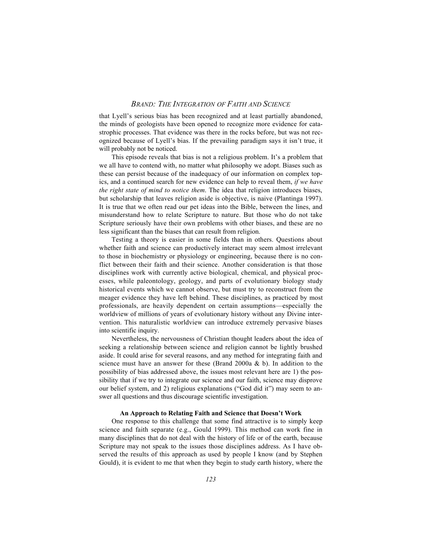that Lyell's serious bias has been recognized and at least partially abandoned, the minds of geologists have been opened to recognize more evidence for catastrophic processes. That evidence was there in the rocks before, but was not recognized because of Lyell's bias. If the prevailing paradigm says it isn't true, it will probably not be noticed.

This episode reveals that bias is not a religious problem. It's a problem that we all have to contend with, no matter what philosophy we adopt. Biases such as these can persist because of the inadequacy of our information on complex topics, and a continued search for new evidence can help to reveal them, *if we have the right state of mind to notice them*. The idea that religion introduces biases, but scholarship that leaves religion aside is objective, is naive (Plantinga 1997). It is true that we often read our pet ideas into the Bible, between the lines, and misunderstand how to relate Scripture to nature. But those who do not take Scripture seriously have their own problems with other biases, and these are no less significant than the biases that can result from religion.

Testing a theory is easier in some fields than in others. Questions about whether faith and science can productively interact may seem almost irrelevant to those in biochemistry or physiology or engineering, because there is no conflict between their faith and their science. Another consideration is that those disciplines work with currently active biological, chemical, and physical processes, while paleontology, geology, and parts of evolutionary biology study historical events which we cannot observe, but must try to reconstruct from the meager evidence they have left behind. These disciplines, as practiced by most professionals, are heavily dependent on certain assumptions—especially the worldview of millions of years of evolutionary history without any Divine intervention. This naturalistic worldview can introduce extremely pervasive biases into scientific inquiry.

Nevertheless, the nervousness of Christian thought leaders about the idea of seeking a relationship between science and religion cannot be lightly brushed aside. It could arise for several reasons, and any method for integrating faith and science must have an answer for these (Brand 2000a & b). In addition to the possibility of bias addressed above, the issues most relevant here are 1) the possibility that if we try to integrate our science and our faith, science may disprove our belief system, and 2) religious explanations ("God did it") may seem to answer all questions and thus discourage scientific investigation.

#### **An Approach to Relating Faith and Science that Doesn't Work**

One response to this challenge that some find attractive is to simply keep science and faith separate (e.g., Gould 1999). This method can work fine in many disciplines that do not deal with the history of life or of the earth, because Scripture may not speak to the issues those disciplines address. As I have observed the results of this approach as used by people I know (and by Stephen Gould), it is evident to me that when they begin to study earth history, where the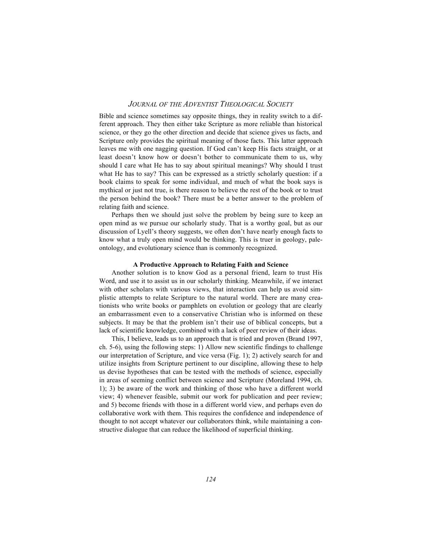Bible and science sometimes say opposite things, they in reality switch to a different approach. They then either take Scripture as more reliable than historical science, or they go the other direction and decide that science gives us facts, and Scripture only provides the spiritual meaning of those facts. This latter approach leaves me with one nagging question. If God can't keep His facts straight, or at least doesn't know how or doesn't bother to communicate them to us, why should I care what He has to say about spiritual meanings? Why should I trust what He has to say? This can be expressed as a strictly scholarly question: if a book claims to speak for some individual, and much of what the book says is mythical or just not true, is there reason to believe the rest of the book or to trust the person behind the book? There must be a better answer to the problem of relating faith and science.

Perhaps then we should just solve the problem by being sure to keep an open mind as we pursue our scholarly study. That is a worthy goal, but as our discussion of Lyell's theory suggests, we often don't have nearly enough facts to know what a truly open mind would be thinking. This is truer in geology, paleontology, and evolutionary science than is commonly recognized.

### **A Productive Approach to Relating Faith and Science**

Another solution is to know God as a personal friend, learn to trust His Word, and use it to assist us in our scholarly thinking. Meanwhile, if we interact with other scholars with various views, that interaction can help us avoid simplistic attempts to relate Scripture to the natural world. There are many creationists who write books or pamphlets on evolution or geology that are clearly an embarrassment even to a conservative Christian who is informed on these subjects. It may be that the problem isn't their use of biblical concepts, but a lack of scientific knowledge, combined with a lack of peer review of their ideas.

This, I believe, leads us to an approach that is tried and proven (Brand 1997, ch. 5-6), using the following steps: 1) Allow new scientific findings to challenge our interpretation of Scripture, and vice versa (Fig. 1); 2) actively search for and utilize insights from Scripture pertinent to our discipline, allowing these to help us devise hypotheses that can be tested with the methods of science, especially in areas of seeming conflict between science and Scripture (Moreland 1994, ch. 1); 3) be aware of the work and thinking of those who have a different world view; 4) whenever feasible, submit our work for publication and peer review; and 5) become friends with those in a different world view, and perhaps even do collaborative work with them. This requires the confidence and independence of thought to not accept whatever our collaborators think, while maintaining a constructive dialogue that can reduce the likelihood of superficial thinking.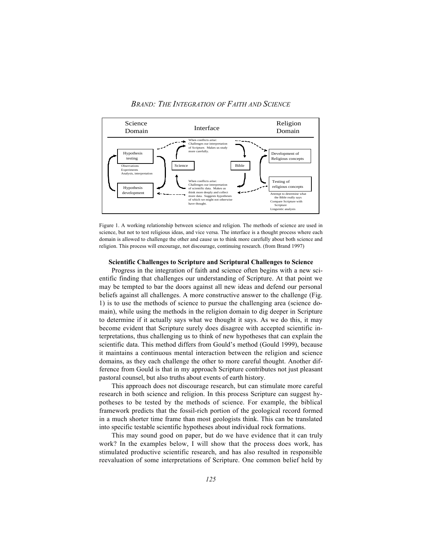*BRAND: THE INTEGRATION OF FAITH AND SCIENCE*



Figure 1. A working relationship between science and religion. The methods of science are used in science, but not to test religious ideas, and vice versa. The interface is a thought process where each domain is allowed to challenge the other and cause us to think more carefully about both science and religion. This process will encourage, not discourage, continuing research. (from Brand 1997)

### **Scientific Challenges to Scripture and Scriptural Challenges to Science**

Progress in the integration of faith and science often begins with a new scientific finding that challenges our understanding of Scripture. At that point we may be tempted to bar the doors against all new ideas and defend our personal beliefs against all challenges. A more constructive answer to the challenge (Fig. 1) is to use the methods of science to pursue the challenging area (science domain), while using the methods in the religion domain to dig deeper in Scripture to determine if it actually says what we thought it says. As we do this, it may become evident that Scripture surely does disagree with accepted scientific interpretations, thus challenging us to think of new hypotheses that can explain the scientific data. This method differs from Gould's method (Gould 1999), because it maintains a continuous mental interaction between the religion and science domains, as they each challenge the other to more careful thought. Another difference from Gould is that in my approach Scripture contributes not just pleasant pastoral counsel, but also truths about events of earth history.

This approach does not discourage research, but can stimulate more careful research in both science and religion. In this process Scripture can suggest hypotheses to be tested by the methods of science. For example, the biblical framework predicts that the fossil-rich portion of the geological record formed in a much shorter time frame than most geologists think. This can be translated into specific testable scientific hypotheses about individual rock formations.

This may sound good on paper, but do we have evidence that it can truly work? In the examples below, I will show that the process does work, has stimulated productive scientific research, and has also resulted in responsible reevaluation of some interpretations of Scripture. One common belief held by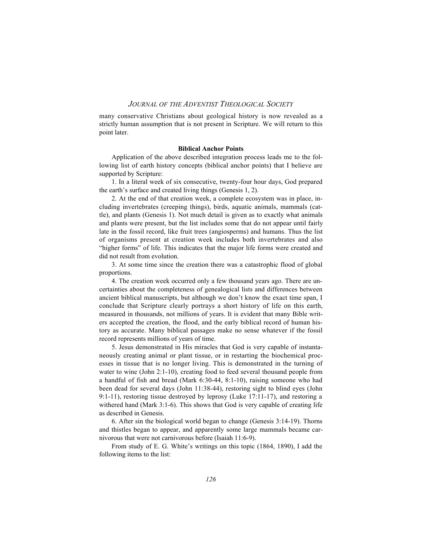many conservative Christians about geological history is now revealed as a strictly human assumption that is not present in Scripture. We will return to this point later.

### **Biblical Anchor Points**

Application of the above described integration process leads me to the following list of earth history concepts (biblical anchor points) that I believe are supported by Scripture:

1. In a literal week of six consecutive, twenty-four hour days, God prepared the earth's surface and created living things (Genesis 1, 2).

2. At the end of that creation week, a complete ecosystem was in place, including invertebrates (creeping things), birds, aquatic animals, mammals (cattle), and plants (Genesis 1). Not much detail is given as to exactly what animals and plants were present, but the list includes some that do not appear until fairly late in the fossil record, like fruit trees (angiosperms) and humans. Thus the list of organisms present at creation week includes both invertebrates and also "higher forms" of life. This indicates that the major life forms were created and did not result from evolution.

3. At some time since the creation there was a catastrophic flood of global proportions.

4. The creation week occurred only a few thousand years ago. There are uncertainties about the completeness of genealogical lists and differences between ancient biblical manuscripts, but although we don't know the exact time span, I conclude that Scripture clearly portrays a short history of life on this earth, measured in thousands, not millions of years. It is evident that many Bible writers accepted the creation, the flood, and the early biblical record of human history as accurate. Many biblical passages make no sense whatever if the fossil record represents millions of years of time.

5. Jesus demonstrated in His miracles that God is very capable of instantaneously creating animal or plant tissue, or in restarting the biochemical processes in tissue that is no longer living. This is demonstrated in the turning of water to wine (John 2:1-10), creating food to feed several thousand people from a handful of fish and bread (Mark 6:30-44, 8:1-10), raising someone who had been dead for several days (John 11:38-44), restoring sight to blind eyes (John 9:1-11), restoring tissue destroyed by leprosy (Luke 17:11-17), and restoring a withered hand (Mark 3:1-6). This shows that God is very capable of creating life as described in Genesis.

6. After sin the biological world began to change (Genesis 3:14-19). Thorns and thistles began to appear, and apparently some large mammals became carnivorous that were not carnivorous before (Isaiah 11:6-9).

From study of E. G. White's writings on this topic (1864, 1890), I add the following items to the list: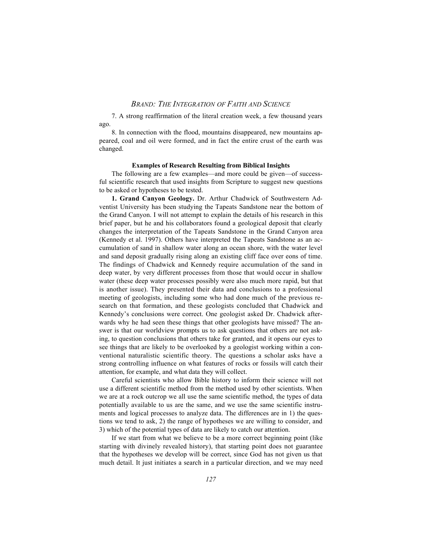7. A strong reaffirmation of the literal creation week, a few thousand years ago.

8. In connection with the flood, mountains disappeared, new mountains appeared, coal and oil were formed, and in fact the entire crust of the earth was changed.

#### **Examples of Research Resulting from Biblical Insights**

The following are a few examples—and more could be given—of successful scientific research that used insights from Scripture to suggest new questions to be asked or hypotheses to be tested.

**1. Grand Canyon Geology.** Dr. Arthur Chadwick of Southwestern Adventist University has been studying the Tapeats Sandstone near the bottom of the Grand Canyon. I will not attempt to explain the details of his research in this brief paper, but he and his collaborators found a geological deposit that clearly changes the interpretation of the Tapeats Sandstone in the Grand Canyon area (Kennedy et al. 1997). Others have interpreted the Tapeats Sandstone as an accumulation of sand in shallow water along an ocean shore, with the water level and sand deposit gradually rising along an existing cliff face over eons of time. The findings of Chadwick and Kennedy require accumulation of the sand in deep water, by very different processes from those that would occur in shallow water (these deep water processes possibly were also much more rapid, but that is another issue). They presented their data and conclusions to a professional meeting of geologists, including some who had done much of the previous research on that formation, and these geologists concluded that Chadwick and Kennedy's conclusions were correct. One geologist asked Dr. Chadwick afterwards why he had seen these things that other geologists have missed? The answer is that our worldview prompts us to ask questions that others are not asking, to question conclusions that others take for granted, and it opens our eyes to see things that are likely to be overlooked by a geologist working within a conventional naturalistic scientific theory. The questions a scholar asks have a strong controlling influence on what features of rocks or fossils will catch their attention, for example, and what data they will collect.

Careful scientists who allow Bible history to inform their science will not use a different scientific method from the method used by other scientists. When we are at a rock outcrop we all use the same scientific method, the types of data potentially available to us are the same, and we use the same scientific instruments and logical processes to analyze data. The differences are in 1) the questions we tend to ask, 2) the range of hypotheses we are willing to consider, and 3) which of the potential types of data are likely to catch our attention.

If we start from what we believe to be a more correct beginning point (like starting with divinely revealed history), that starting point does not guarantee that the hypotheses we develop will be correct, since God has not given us that much detail. It just initiates a search in a particular direction, and we may need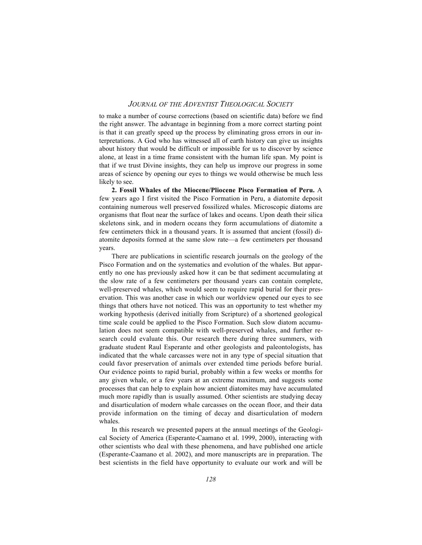to make a number of course corrections (based on scientific data) before we find the right answer. The advantage in beginning from a more correct starting point is that it can greatly speed up the process by eliminating gross errors in our interpretations. A God who has witnessed all of earth history can give us insights about history that would be difficult or impossible for us to discover by science alone, at least in a time frame consistent with the human life span. My point is that if we trust Divine insights, they can help us improve our progress in some areas of science by opening our eyes to things we would otherwise be much less likely to see.

**2. Fossil Whales of the Miocene/Pliocene Pisco Formation of Peru.** A few years ago I first visited the Pisco Formation in Peru, a diatomite deposit containing numerous well preserved fossilized whales. Microscopic diatoms are organisms that float near the surface of lakes and oceans. Upon death their silica skeletons sink, and in modern oceans they form accumulations of diatomite a few centimeters thick in a thousand years. It is assumed that ancient (fossil) diatomite deposits formed at the same slow rate—a few centimeters per thousand years.

There are publications in scientific research journals on the geology of the Pisco Formation and on the systematics and evolution of the whales. But apparently no one has previously asked how it can be that sediment accumulating at the slow rate of a few centimeters per thousand years can contain complete, well-preserved whales, which would seem to require rapid burial for their preservation. This was another case in which our worldview opened our eyes to see things that others have not noticed. This was an opportunity to test whether my working hypothesis (derived initially from Scripture) of a shortened geological time scale could be applied to the Pisco Formation. Such slow diatom accumulation does not seem compatible with well-preserved whales, and further research could evaluate this. Our research there during three summers, with graduate student Raul Esperante and other geologists and paleontologists, has indicated that the whale carcasses were not in any type of special situation that could favor preservation of animals over extended time periods before burial. Our evidence points to rapid burial, probably within a few weeks or months for any given whale, or a few years at an extreme maximum, and suggests some processes that can help to explain how ancient diatomites may have accumulated much more rapidly than is usually assumed. Other scientists are studying decay and disarticulation of modern whale carcasses on the ocean floor, and their data provide information on the timing of decay and disarticulation of modern whales.

In this research we presented papers at the annual meetings of the Geological Society of America (Esperante-Caamano et al. 1999, 2000), interacting with other scientists who deal with these phenomena, and have published one article (Esperante-Caamano et al. 2002), and more manuscripts are in preparation. The best scientists in the field have opportunity to evaluate our work and will be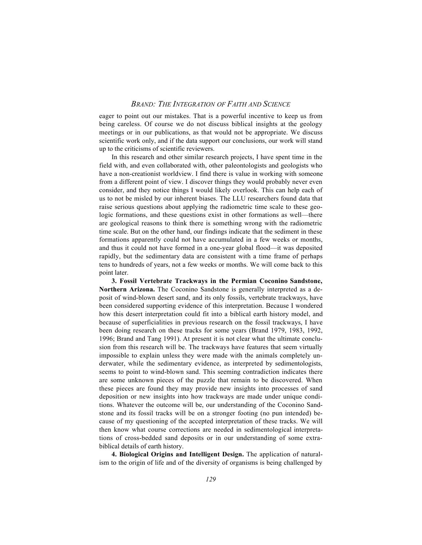eager to point out our mistakes. That is a powerful incentive to keep us from being careless. Of course we do not discuss biblical insights at the geology meetings or in our publications, as that would not be appropriate. We discuss scientific work only, and if the data support our conclusions, our work will stand up to the criticisms of scientific reviewers.

In this research and other similar research projects, I have spent time in the field with, and even collaborated with, other paleontologists and geologists who have a non-creationist worldview. I find there is value in working with someone from a different point of view. I discover things they would probably never even consider, and they notice things I would likely overlook. This can help each of us to not be misled by our inherent biases. The LLU researchers found data that raise serious questions about applying the radiometric time scale to these geologic formations, and these questions exist in other formations as well—there are geological reasons to think there is something wrong with the radiometric time scale. But on the other hand, our findings indicate that the sediment in these formations apparently could not have accumulated in a few weeks or months, and thus it could not have formed in a one-year global flood—it was deposited rapidly, but the sedimentary data are consistent with a time frame of perhaps tens to hundreds of years, not a few weeks or months. We will come back to this point later.

**3. Fossil Vertebrate Trackways in the Permian Coconino Sandstone, Northern Arizona.** The Coconino Sandstone is generally interpreted as a deposit of wind-blown desert sand, and its only fossils, vertebrate trackways, have been considered supporting evidence of this interpretation. Because I wondered how this desert interpretation could fit into a biblical earth history model, and because of superficialities in previous research on the fossil trackways, I have been doing research on these tracks for some years (Brand 1979, 1983, 1992, 1996; Brand and Tang 1991). At present it is not clear what the ultimate conclusion from this research will be. The trackways have features that seem virtually impossible to explain unless they were made with the animals completely underwater, while the sedimentary evidence, as interpreted by sedimentologists, seems to point to wind-blown sand. This seeming contradiction indicates there are some unknown pieces of the puzzle that remain to be discovered. When these pieces are found they may provide new insights into processes of sand deposition or new insights into how trackways are made under unique conditions. Whatever the outcome will be, our understanding of the Coconino Sandstone and its fossil tracks will be on a stronger footing (no pun intended) because of my questioning of the accepted interpretation of these tracks. We will then know what course corrections are needed in sedimentological interpretations of cross-bedded sand deposits or in our understanding of some extrabiblical details of earth history.

**4. Biological Origins and Intelligent Design.** The application of naturalism to the origin of life and of the diversity of organisms is being challenged by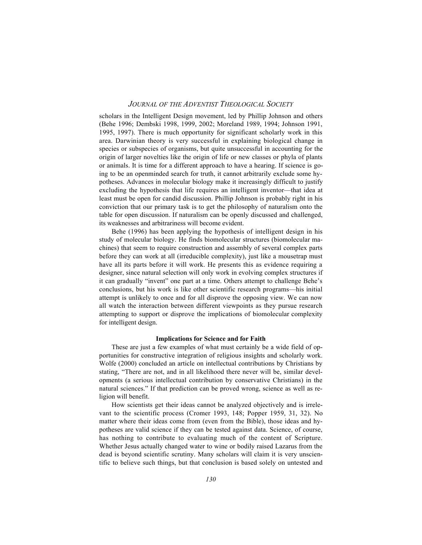scholars in the Intelligent Design movement, led by Phillip Johnson and others (Behe 1996; Dembski 1998, 1999, 2002; Moreland 1989, 1994; Johnson 1991, 1995, 1997). There is much opportunity for significant scholarly work in this area. Darwinian theory is very successful in explaining biological change in species or subspecies of organisms, but quite unsuccessful in accounting for the origin of larger novelties like the origin of life or new classes or phyla of plants or animals. It is time for a different approach to have a hearing. If science is going to be an openminded search for truth, it cannot arbitrarily exclude some hypotheses. Advances in molecular biology make it increasingly difficult to justify excluding the hypothesis that life requires an intelligent inventor—that idea at least must be open for candid discussion. Phillip Johnson is probably right in his conviction that our primary task is to get the philosophy of naturalism onto the table for open discussion. If naturalism can be openly discussed and challenged, its weaknesses and arbitrariness will become evident.

Behe (1996) has been applying the hypothesis of intelligent design in his study of molecular biology. He finds biomolecular structures (biomolecular machines) that seem to require construction and assembly of several complex parts before they can work at all (irreducible complexity), just like a mousetrap must have all its parts before it will work. He presents this as evidence requiring a designer, since natural selection will only work in evolving complex structures if it can gradually "invent" one part at a time. Others attempt to challenge Behe's conclusions, but his work is like other scientific research programs—his initial attempt is unlikely to once and for all disprove the opposing view. We can now all watch the interaction between different viewpoints as they pursue research attempting to support or disprove the implications of biomolecular complexity for intelligent design.

#### **Implications for Science and for Faith**

These are just a few examples of what must certainly be a wide field of opportunities for constructive integration of religious insights and scholarly work. Wolfe (2000) concluded an article on intellectual contributions by Christians by stating, "There are not, and in all likelihood there never will be, similar developments (a serious intellectual contribution by conservative Christians) in the natural sciences." If that prediction can be proved wrong, science as well as religion will benefit.

How scientists get their ideas cannot be analyzed objectively and is irrelevant to the scientific process (Cromer 1993, 148; Popper 1959, 31, 32). No matter where their ideas come from (even from the Bible), those ideas and hypotheses are valid science if they can be tested against data. Science, of course, has nothing to contribute to evaluating much of the content of Scripture. Whether Jesus actually changed water to wine or bodily raised Lazarus from the dead is beyond scientific scrutiny. Many scholars will claim it is very unscientific to believe such things, but that conclusion is based solely on untested and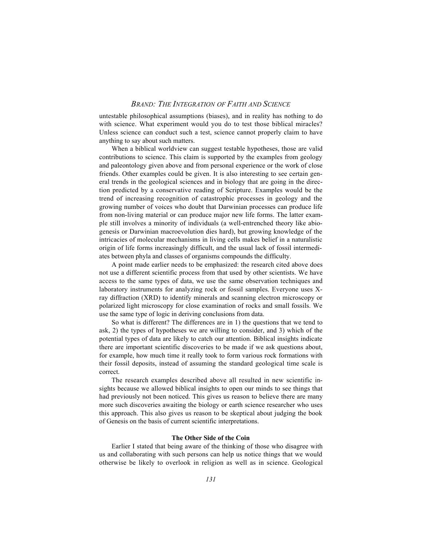untestable philosophical assumptions (biases), and in reality has nothing to do with science. What experiment would you do to test those biblical miracles? Unless science can conduct such a test, science cannot properly claim to have anything to say about such matters.

When a biblical worldview can suggest testable hypotheses, those are valid contributions to science. This claim is supported by the examples from geology and paleontology given above and from personal experience or the work of close friends. Other examples could be given. It is also interesting to see certain general trends in the geological sciences and in biology that are going in the direction predicted by a conservative reading of Scripture. Examples would be the trend of increasing recognition of catastrophic processes in geology and the growing number of voices who doubt that Darwinian processes can produce life from non-living material or can produce major new life forms. The latter example still involves a minority of individuals (a well-entrenched theory like abiogenesis or Darwinian macroevolution dies hard), but growing knowledge of the intricacies of molecular mechanisms in living cells makes belief in a naturalistic origin of life forms increasingly difficult, and the usual lack of fossil intermediates between phyla and classes of organisms compounds the difficulty.

A point made earlier needs to be emphasized: the research cited above does not use a different scientific process from that used by other scientists. We have access to the same types of data, we use the same observation techniques and laboratory instruments for analyzing rock or fossil samples. Everyone uses Xray diffraction (XRD) to identify minerals and scanning electron microscopy or polarized light microscopy for close examination of rocks and small fossils. We use the same type of logic in deriving conclusions from data.

So what is different? The differences are in 1) the questions that we tend to ask, 2) the types of hypotheses we are willing to consider, and 3) which of the potential types of data are likely to catch our attention. Biblical insights indicate there are important scientific discoveries to be made if we ask questions about, for example, how much time it really took to form various rock formations with their fossil deposits, instead of assuming the standard geological time scale is correct.

The research examples described above all resulted in new scientific insights because we allowed biblical insights to open our minds to see things that had previously not been noticed. This gives us reason to believe there are many more such discoveries awaiting the biology or earth science researcher who uses this approach. This also gives us reason to be skeptical about judging the book of Genesis on the basis of current scientific interpretations.

### **The Other Side of the Coin**

Earlier I stated that being aware of the thinking of those who disagree with us and collaborating with such persons can help us notice things that we would otherwise be likely to overlook in religion as well as in science. Geological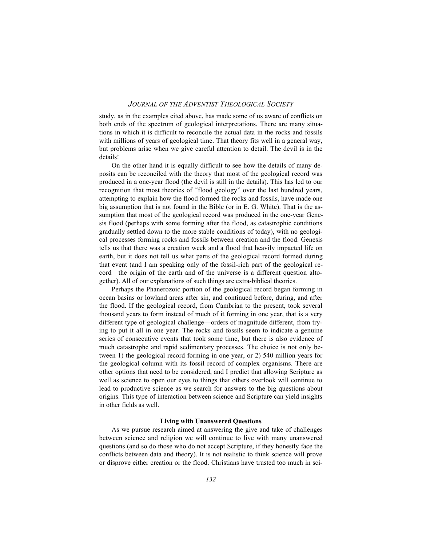study, as in the examples cited above, has made some of us aware of conflicts on both ends of the spectrum of geological interpretations. There are many situations in which it is difficult to reconcile the actual data in the rocks and fossils with millions of years of geological time. That theory fits well in a general way, but problems arise when we give careful attention to detail. The devil is in the details!

On the other hand it is equally difficult to see how the details of many deposits can be reconciled with the theory that most of the geological record was produced in a one-year flood (the devil is still in the details). This has led to our recognition that most theories of "flood geology" over the last hundred years, attempting to explain how the flood formed the rocks and fossils, have made one big assumption that is not found in the Bible (or in E. G. White). That is the assumption that most of the geological record was produced in the one-year Genesis flood (perhaps with some forming after the flood, as catastrophic conditions gradually settled down to the more stable conditions of today), with no geological processes forming rocks and fossils between creation and the flood. Genesis tells us that there was a creation week and a flood that heavily impacted life on earth, but it does not tell us what parts of the geological record formed during that event (and I am speaking only of the fossil-rich part of the geological record—the origin of the earth and of the universe is a different question altogether). All of our explanations of such things are extra-biblical theories.

Perhaps the Phanerozoic portion of the geological record began forming in ocean basins or lowland areas after sin, and continued before, during, and after the flood. If the geological record, from Cambrian to the present, took several thousand years to form instead of much of it forming in one year, that is a very different type of geological challenge—orders of magnitude different, from trying to put it all in one year. The rocks and fossils seem to indicate a genuine series of consecutive events that took some time, but there is also evidence of much catastrophe and rapid sedimentary processes. The choice is not only between 1) the geological record forming in one year, or 2) 540 million years for the geological column with its fossil record of complex organisms. There are other options that need to be considered, and I predict that allowing Scripture as well as science to open our eyes to things that others overlook will continue to lead to productive science as we search for answers to the big questions about origins. This type of interaction between science and Scripture can yield insights in other fields as well.

### **Living with Unanswered Questions**

As we pursue research aimed at answering the give and take of challenges between science and religion we will continue to live with many unanswered questions (and so do those who do not accept Scripture, if they honestly face the conflicts between data and theory). It is not realistic to think science will prove or disprove either creation or the flood. Christians have trusted too much in sci-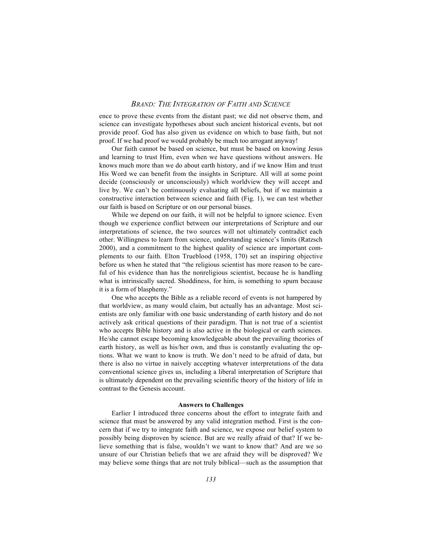ence to prove these events from the distant past; we did not observe them, and science can investigate hypotheses about such ancient historical events, but not provide proof. God has also given us evidence on which to base faith, but not proof. If we had proof we would probably be much too arrogant anyway!

Our faith cannot be based on science, but must be based on knowing Jesus and learning to trust Him, even when we have questions without answers. He knows much more than we do about earth history, and if we know Him and trust His Word we can benefit from the insights in Scripture. All will at some point decide (consciously or unconsciously) which worldview they will accept and live by. We can't be continuously evaluating all beliefs, but if we maintain a constructive interaction between science and faith (Fig. 1), we can test whether our faith is based on Scripture or on our personal biases.

While we depend on our faith, it will not be helpful to ignore science. Even though we experience conflict between our interpretations of Scripture and our interpretations of science, the two sources will not ultimately contradict each other. Willingness to learn from science, understanding science's limits (Ratzsch 2000), and a commitment to the highest quality of science are important complements to our faith. Elton Trueblood (1958, 170) set an inspiring objective before us when he stated that "the religious scientist has more reason to be careful of his evidence than has the nonreligious scientist, because he is handling what is intrinsically sacred. Shoddiness, for him, is something to spurn because it is a form of blasphemy."

One who accepts the Bible as a reliable record of events is not hampered by that worldview, as many would claim, but actually has an advantage. Most scientists are only familiar with one basic understanding of earth history and do not actively ask critical questions of their paradigm. That is not true of a scientist who accepts Bible history and is also active in the biological or earth sciences. He/she cannot escape becoming knowledgeable about the prevailing theories of earth history, as well as his/her own, and thus is constantly evaluating the options. What we want to know is truth. We don't need to be afraid of data, but there is also no virtue in naively accepting whatever interpretations of the data conventional science gives us, including a liberal interpretation of Scripture that is ultimately dependent on the prevailing scientific theory of the history of life in contrast to the Genesis account.

#### **Answers to Challenges**

Earlier I introduced three concerns about the effort to integrate faith and science that must be answered by any valid integration method. First is the concern that if we try to integrate faith and science, we expose our belief system to possibly being disproven by science. But are we really afraid of that? If we believe something that is false, wouldn't we want to know that? And are we so unsure of our Christian beliefs that we are afraid they will be disproved? We may believe some things that are not truly biblical—such as the assumption that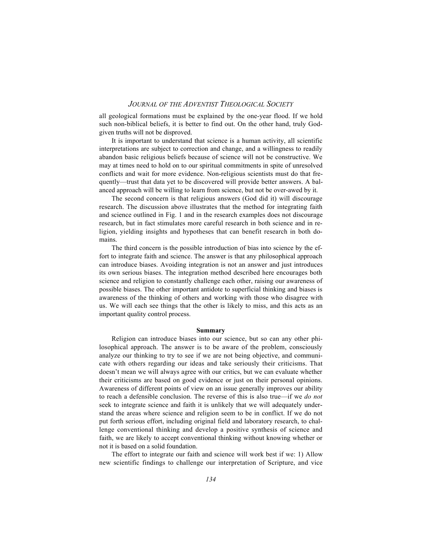all geological formations must be explained by the one-year flood. If we hold such non-biblical beliefs, it is better to find out. On the other hand, truly Godgiven truths will not be disproved.

It is important to understand that science is a human activity, all scientific interpretations are subject to correction and change, and a willingness to readily abandon basic religious beliefs because of science will not be constructive. We may at times need to hold on to our spiritual commitments in spite of unresolved conflicts and wait for more evidence. Non-religious scientists must do that frequently—trust that data yet to be discovered will provide better answers. A balanced approach will be willing to learn from science, but not be over-awed by it.

The second concern is that religious answers (God did it) will discourage research. The discussion above illustrates that the method for integrating faith and science outlined in Fig. 1 and in the research examples does not discourage research, but in fact stimulates more careful research in both science and in religion, yielding insights and hypotheses that can benefit research in both domains.

The third concern is the possible introduction of bias into science by the effort to integrate faith and science. The answer is that any philosophical approach can introduce biases. Avoiding integration is not an answer and just introduces its own serious biases. The integration method described here encourages both science and religion to constantly challenge each other, raising our awareness of possible biases. The other important antidote to superficial thinking and biases is awareness of the thinking of others and working with those who disagree with us. We will each see things that the other is likely to miss, and this acts as an important quality control process.

#### **Summary**

Religion can introduce biases into our science, but so can any other philosophical approach. The answer is to be aware of the problem, consciously analyze our thinking to try to see if we are not being objective, and communicate with others regarding our ideas and take seriously their criticisms. That doesn't mean we will always agree with our critics, but we can evaluate whether their criticisms are based on good evidence or just on their personal opinions. Awareness of different points of view on an issue generally improves our ability to reach a defensible conclusion. The reverse of this is also true—if we *do not* seek to integrate science and faith it is unlikely that we will adequately understand the areas where science and religion seem to be in conflict. If we do not put forth serious effort, including original field and laboratory research, to challenge conventional thinking and develop a positive synthesis of science and faith, we are likely to accept conventional thinking without knowing whether or not it is based on a solid foundation.

The effort to integrate our faith and science will work best if we: 1) Allow new scientific findings to challenge our interpretation of Scripture, and vice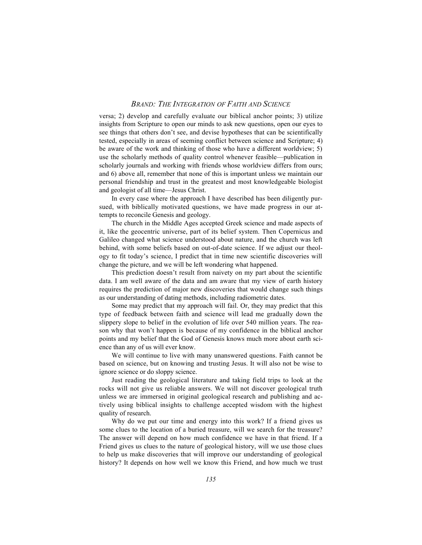versa; 2) develop and carefully evaluate our biblical anchor points; 3) utilize insights from Scripture to open our minds to ask new questions, open our eyes to see things that others don't see, and devise hypotheses that can be scientifically tested, especially in areas of seeming conflict between science and Scripture; 4) be aware of the work and thinking of those who have a different worldview; 5) use the scholarly methods of quality control whenever feasible—publication in scholarly journals and working with friends whose worldview differs from ours; and 6) above all, remember that none of this is important unless we maintain our personal friendship and trust in the greatest and most knowledgeable biologist and geologist of all time—Jesus Christ.

In every case where the approach I have described has been diligently pursued, with biblically motivated questions, we have made progress in our attempts to reconcile Genesis and geology.

The church in the Middle Ages accepted Greek science and made aspects of it, like the geocentric universe, part of its belief system. Then Copernicus and Galileo changed what science understood about nature, and the church was left behind, with some beliefs based on out-of-date science. If we adjust our theology to fit today's science, I predict that in time new scientific discoveries will change the picture, and we will be left wondering what happened.

This prediction doesn't result from naivety on my part about the scientific data. I am well aware of the data and am aware that my view of earth history requires the prediction of major new discoveries that would change such things as our understanding of dating methods, including radiometric dates.

Some may predict that my approach will fail. Or, they may predict that this type of feedback between faith and science will lead me gradually down the slippery slope to belief in the evolution of life over 540 million years. The reason why that won't happen is because of my confidence in the biblical anchor points and my belief that the God of Genesis knows much more about earth science than any of us will ever know.

We will continue to live with many unanswered questions. Faith cannot be based on science, but on knowing and trusting Jesus. It will also not be wise to ignore science or do sloppy science.

Just reading the geological literature and taking field trips to look at the rocks will not give us reliable answers. We will not discover geological truth unless we are immersed in original geological research and publishing and actively using biblical insights to challenge accepted wisdom with the highest quality of research.

Why do we put our time and energy into this work? If a friend gives us some clues to the location of a buried treasure, will we search for the treasure? The answer will depend on how much confidence we have in that friend. If a Friend gives us clues to the nature of geological history, will we use those clues to help us make discoveries that will improve our understanding of geological history? It depends on how well we know this Friend, and how much we trust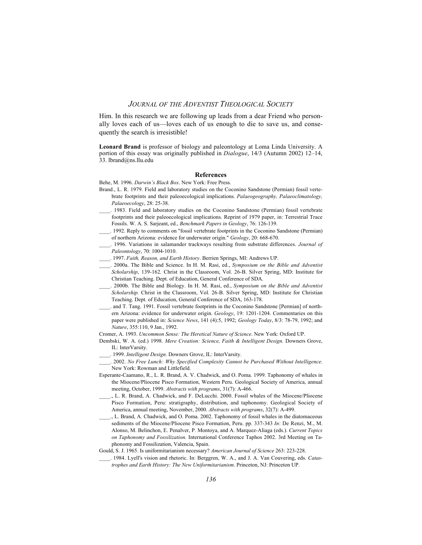Him. In this research we are following up leads from a dear Friend who personally loves each of us—loves each of us enough to die to save us, and consequently the search is irresistible!

**Leonard Brand** is professor of biology and paleontology at Loma Linda University. A portion of this essay was originally published in *Dialogue*, 14/3 (Autumn 2002) 12–14, 33. lbrand@ns.llu.edu

### **References**

Behe, M. 1996. *Darwin's Black Box*. New York: Free Press.

- Brand., L. R. 1979. Field and laboratory studies on the Coconino Sandstone (Permian) fossil vertebrate footprints and their paleoecological implications. *Palaeogeography, Palaeoclimatology, Palaeoecology*, 28: 25-38.
- \_\_\_\_. 1983. Field and laboratory studies on the Coconino Sandstone (Permian) fossil vertebrate footprints and their paleoecological implications. Reprint of 1979 paper, in: Terrestrial Trace Fossils. W. A. S. Sarjeant, ed., *Benchmark Papers in Geology*, 76: 126-139.
- \_\_\_\_. 1992. Reply to comments on "fossil vertebrate footprints in the Coconino Sandstone (Permian) of northern Arizona: evidence for underwater origin." *Geology*, 20: 668-670.
- \_\_\_\_. 1996. Variations in salamander trackways resulting from substrate differences. *Journal of Paleontology*, 70: 1004-1010.
- \_\_\_\_. 1997. *Faith, Reason, and Earth History*. Berrien Springs, MI: Andrews UP.
- \_\_\_\_. 2000a. The Bible and Science. In H. M. Rasi, ed., *Symposium on the Bible and Adventist Scholarship*, 139-162*.* Christ in the Classroom, Vol. 26-B. Silver Spring, MD: Institute for Christian Teaching. Dept. of Education, General Conference of SDA.
- \_\_\_\_. 2000b. The Bible and Biology. In H. M. Rasi, ed., *Symposium on the Bible and Adventist Scholarship.* Christ in the Classroom, Vol. 26-B. Silver Spring, MD: Institute for Christian Teaching. Dept. of Education, General Conference of SDA, 163-178.
- \_\_\_\_. and T. Tang. 1991. Fossil vertebrate footprints in the Coconino Sandstone [Permian] of northern Arizona: evidence for underwater origin. *Geology*, 19: 1201-1204. Commentaries on this paper were published in: *Science News*, 141 (4):5, 1992; *Geology Today*, 8/3: 78-79, 1992; and *Nature*, 355:110, 9 Jan., 1992.
- Cromer, A. 1993. *Uncommon Sense: The Heretical Nature of Science*. New York: Oxford UP.
- Dembski, W. A. (ed.) 1998. *Mere Creation: Science, Faith & Intelligent Design.* Downers Grove, IL: InterVarsity.
- \_\_\_\_. 1999. *Intelligent Design*. Downers Grove, IL: InterVarsity.
- \_\_\_\_. 2002. *No Free Lunch: Why Specified Complexity Cannot be Purchased Without Intelligence*. New York: Rowman and Littlefield.
- Esperante-Caamano, R., L. R. Brand, A. V. Chadwick, and O. Poma. 1999. Taphonomy of whales in the Miocene/Pliocene Pisco Formation, Western Peru. Geological Society of America, annual meeting, October, 1999. *Abstracts with programs*, 31(7): A-466.
- \_\_\_\_., L. R. Brand, A. Chadwick, and F. DeLucchi. 2000. Fossil whales of the Miocene/Pliocene Pisco Formation, Peru: stratigraphy, distribution, and taphonomy. Geological Society of America, annual meeting, November, 2000. *Abstracts with programs*, 32(7): A-499.
- \_\_\_\_., L. Brand, A. Chadwick, and O. Poma. 2002. Taphonomy of fossil whales in the diatomaceous sediments of the Miocene/Pliocene Pisco Formation, Peru. pp. 337-343 *In*: De Renzi, M., M. Alonso, M. Belinchon, E. Penalver, P. Montoya, and A. Marquez-Aliaga (eds.). *Current Topics on Taphonomy and Fossilization.* International Conference Taphos 2002. 3rd Meeting on Taphonomy and Fossilization, Valencia, Spain.
- Gould, S. J. 1965. Is uniformitarianism necessary? *American Journal of Science* 263: 223-228.
	- \_\_\_\_. 1984. Lyell's vision and rhetoric. In: Berggren, W. A., and J. A. Van Couvering, eds. *Catastrophes and Earth History: The New Uniformitarianism*. Princeton, NJ: Princeton UP.